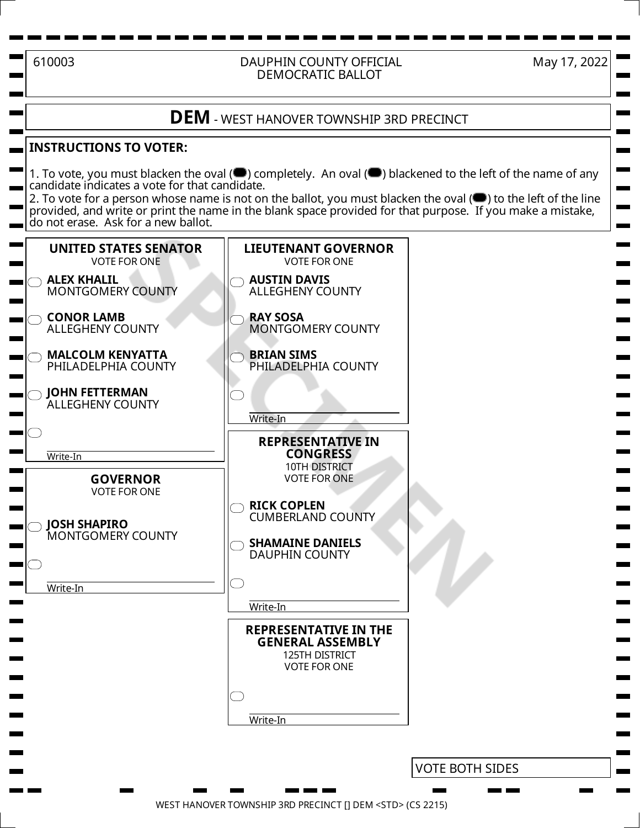Write-In

 $\bigcirc$ 

May 17, 2022

## 610003 DAUPHIN COUNTY OFFICIAL DEMOCRATIC BALLOT **DEM** - WEST HANOVER TOWNSHIP 3RD PRECINCT **INSTRUCTIONS TO VOTER:** 1. To vote, you must blacken the oval ( $\bullet$ ) completely. An oval ( $\bullet$ ) blackened to the left of the name of any candidate indicates a vote for that candidate. 2. To vote for a person whose name is not on the ballot, you must blacken the oval  $(\blacksquare)$  to the left of the line provided, and write or print the name in the blank space provided for that purpose. If you make a mistake, do not erase. Ask for a new ballot. **UNITED STATES SENATOR** VOTE FOR ONE **ALEX KHALIL** MONTGOMERY COUNTY **CONOR LAMB** ALLEGHENY COUNTY **MALCOLM KENYATTA** PHILADELPHIA COUNTY  $\bigcirc$  JOHN FETTERMAN ALLEGHENY COUNTY **GOVERNOR** VOTE FOR ONE **JOSH SHAPIRO** MONTGOMERY COUNTY Write-In **LIEUTENANT GOVERNOR** VOTE FOR ONE **AUSTIN DAVIS** ALLEGHENY COUNTY **RAY SOSA** MONTGOMERY COUNTY **BRIAN SIMS** PHILADELPHIA COUNTY Write-In **REPRESENTATIVE IN CONGRESS** 10TH DISTRICT VOTE FOR ONE **RICK COPLEN** CUMBERLAND COUNTY **SHAMAINE DANIELS** DAUPHIN COUNTY Write-In **REPRESENTATIVE IN THE GENERAL ASSEMBLY** 125TH DISTRICT VOTE FOR ONE

Write-In

VOTE BOTH SIDES